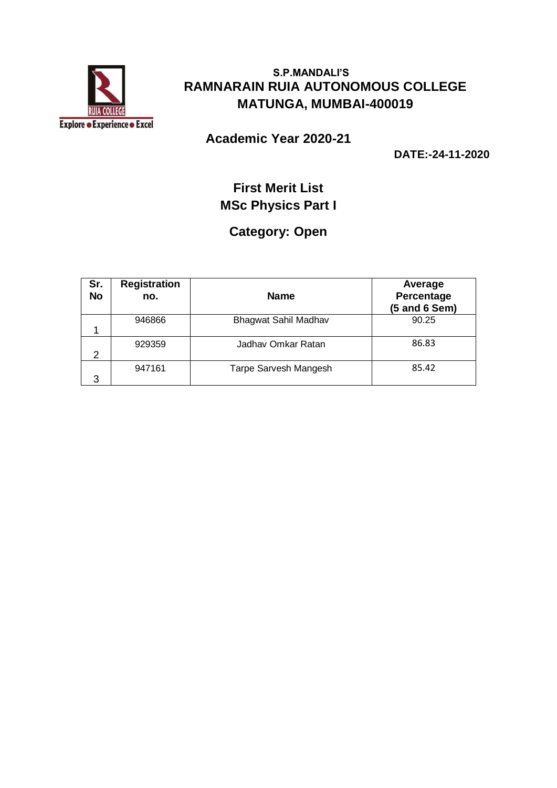

**Academic Year 2020-21**

**DATE:-24-11-2020**

## **First Merit List MSc Physics Part I**

### **Category: Open**

| Sr.<br><b>No</b> | <b>Registration</b><br>no. | <b>Name</b>           | Average<br>Percentage<br>$(5$ and $6$ Sem) |
|------------------|----------------------------|-----------------------|--------------------------------------------|
|                  | 946866                     | Bhagwat Sahil Madhav  | 90.25                                      |
| 2                | 929359                     | Jadhav Omkar Ratan    | 86.83                                      |
| 3                | 947161                     | Tarpe Sarvesh Mangesh | 85.42                                      |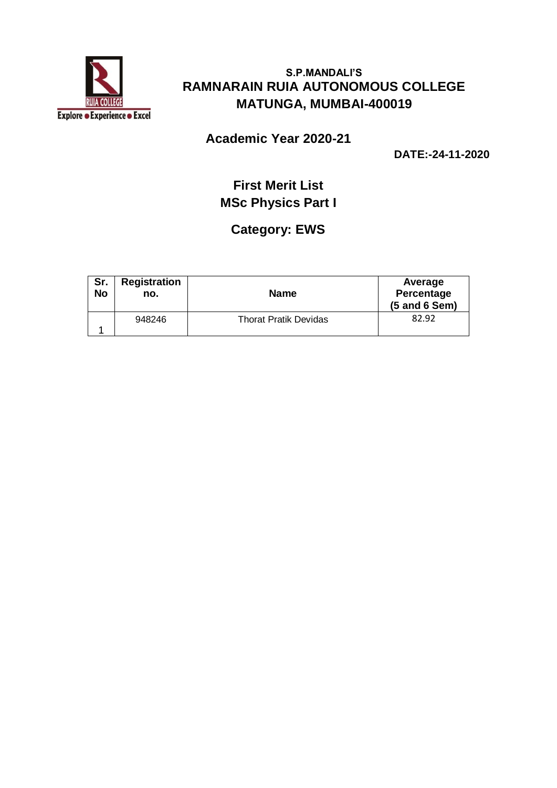

### **Academic Year 2020-21**

**DATE:-24-11-2020**

## **First Merit List MSc Physics Part I**

# **Category: EWS**

| Sr.<br><b>No</b> | <b>Registration</b><br>no. | <b>Name</b>                  | Average<br>Percentage<br>$(5$ and $6$ Sem) |
|------------------|----------------------------|------------------------------|--------------------------------------------|
|                  | 948246                     | <b>Thorat Pratik Devidas</b> | 82.92                                      |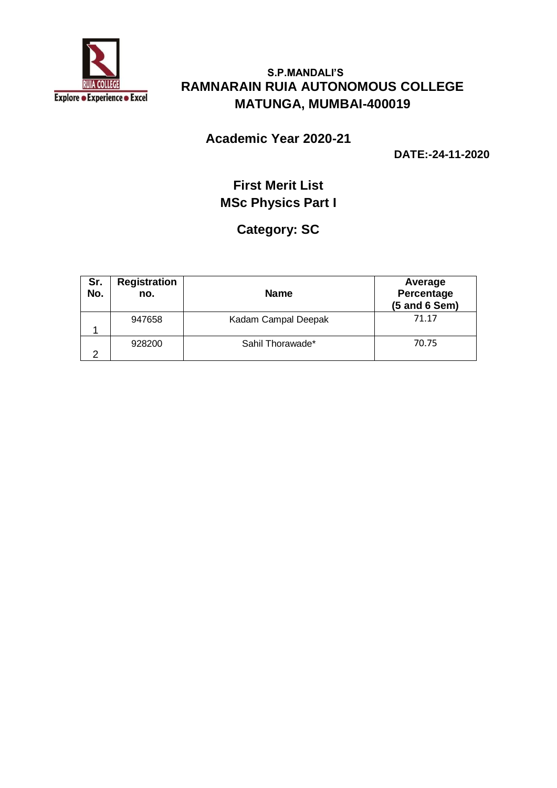

### **Academic Year 2020-21**

**DATE:-24-11-2020**

## **First Merit List MSc Physics Part I**

## **Category: SC**

| Sr.<br>No. | <b>Registration</b><br>no. | <b>Name</b>         | Average<br>Percentage<br>(5 and 6 Sem) |
|------------|----------------------------|---------------------|----------------------------------------|
|            | 947658                     | Kadam Campal Deepak | 71.17                                  |
| ົ          | 928200                     | Sahil Thorawade*    | 70.75                                  |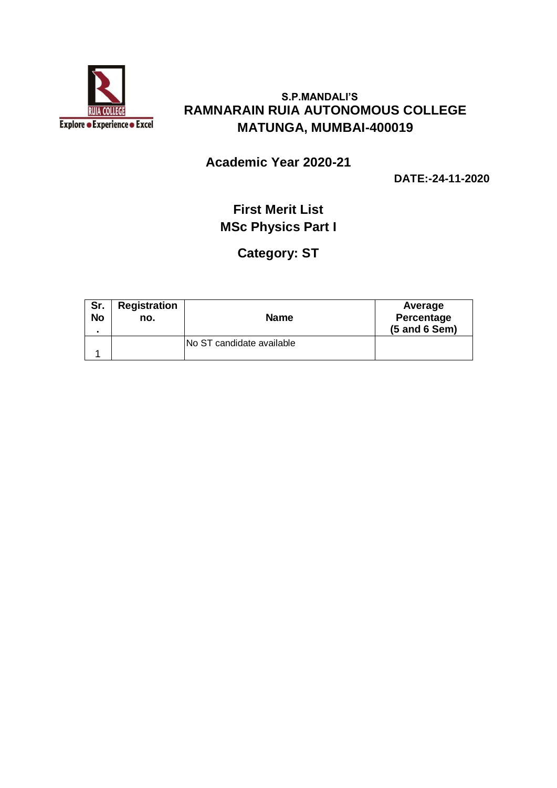

**Academic Year 2020-21**

**DATE:-24-11-2020**

# **First Merit List MSc Physics Part I**

### **Category: ST**

| Sr.<br><b>No</b> | <b>Registration</b><br>no. | <b>Name</b>               | Average<br>Percentage<br>$(5$ and $6$ Sem) |
|------------------|----------------------------|---------------------------|--------------------------------------------|
|                  |                            | No ST candidate available |                                            |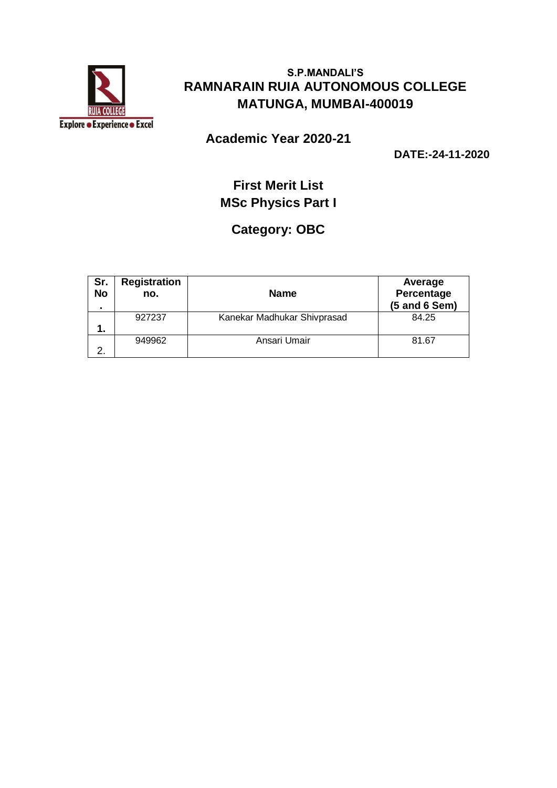

**Academic Year 2020-21**

**DATE:-24-11-2020**

# **First Merit List MSc Physics Part I**

## **Category: OBC**

| Sr.<br><b>No</b> | <b>Registration</b><br>no. | <b>Name</b>                 | Average<br>Percentage<br>$(5$ and $6$ Sem) |
|------------------|----------------------------|-----------------------------|--------------------------------------------|
| 1.               | 927237                     | Kanekar Madhukar Shivprasad | 84.25                                      |
| っ                | 949962                     | Ansari Umair                | 81.67                                      |
|                  |                            |                             |                                            |